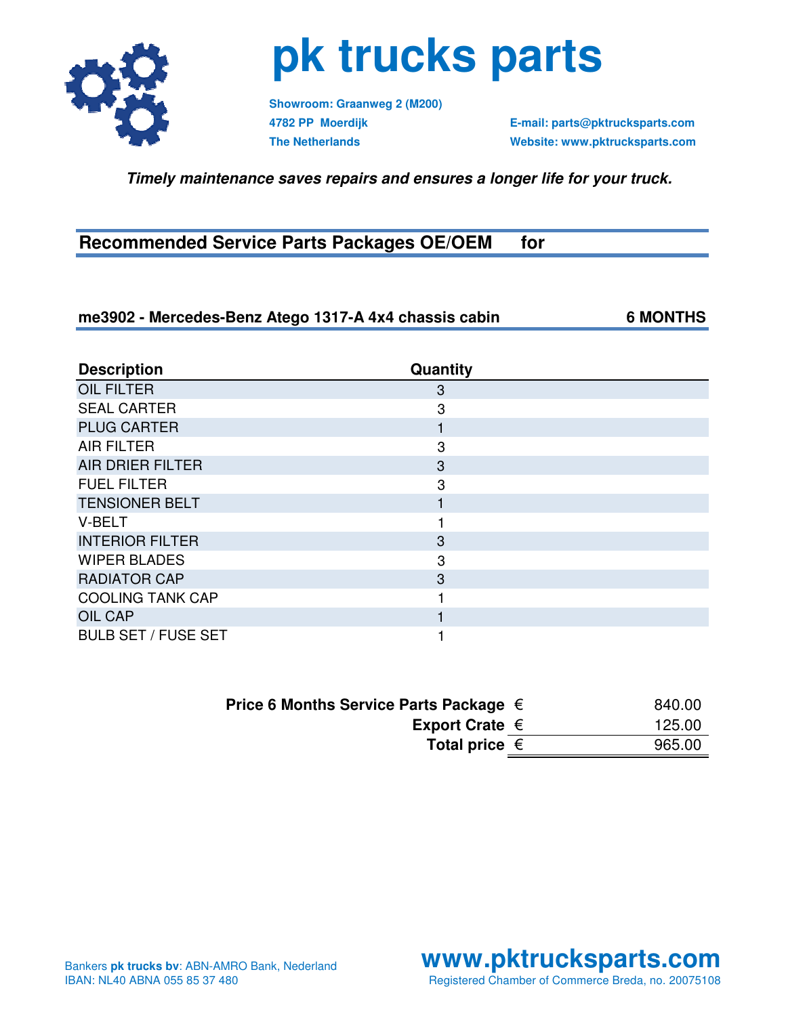

### **pk trucks parts**

**Showroom: Graanweg 2 (M200)**

**4782 PP Moerdijk E-mail: parts@pktrucksparts.com The Netherlands Website: www.pktrucksparts.com**

 **Timely maintenance saves repairs and ensures a longer life for your truck.**

#### **Recommended Service Parts Packages OE/OEM for**

#### **me3902 - Mercedes-Benz Atego 1317-A 4x4 chassis cabin 6 MONTHS**

**Description Quantity OIL FILTER** 3 SEAL CARTER 3 PLUG CARTER **1** AIR FILTER 3 AIR DRIER FILTER 3 FUEL FILTER 3 TENSIONER BELT 1999 FOR THE 1999 FOR THE 1999 FOR THE 1999 FOR THE 1999 FOR THE 1999 FOR THE 1999 FOR THE 1999 V-BELT 1 **INTERIOR FILTER** 3 WIPER BLADES 3 RADIATOR CAP 3 COOLING TANK CAP 1 OIL CAP **1** BULB SET / FUSE SET 1

| Price 6 Months Service Parts Package $\in$ | 840.00 |
|--------------------------------------------|--------|
| Export Crate $\epsilon$                    | 125.00 |
| Total price $\in$                          | 965.00 |

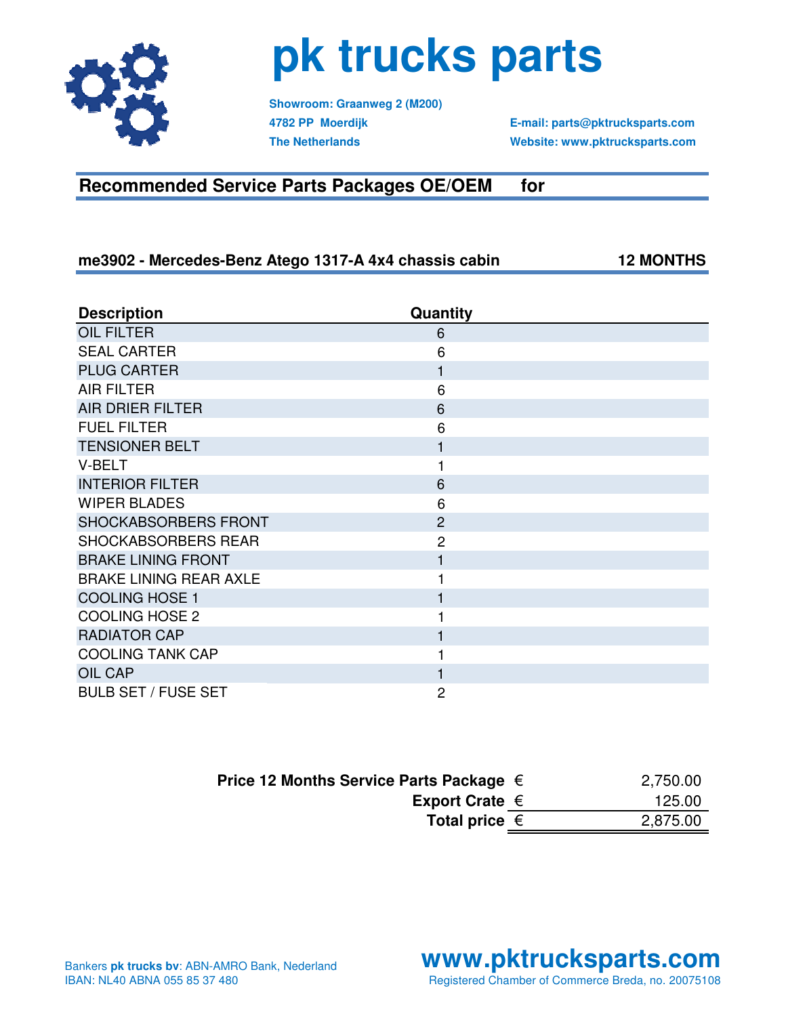

# **pk trucks parts**

**Showroom: Graanweg 2 (M200)**

**4782 PP Moerdijk E-mail: parts@pktrucksparts.com The Netherlands Website: www.pktrucksparts.com**

### **Recommended Service Parts Packages OE/OEM for**

**me3902 - Mercedes-Benz Atego 1317-A 4x4 chassis cabin 12 MONTHS**

| <b>Description</b>            | Quantity       |
|-------------------------------|----------------|
| <b>OIL FILTER</b>             | 6              |
| <b>SEAL CARTER</b>            | 6              |
| <b>PLUG CARTER</b>            | 1              |
| <b>AIR FILTER</b>             | 6              |
| <b>AIR DRIER FILTER</b>       | 6              |
| <b>FUEL FILTER</b>            | 6              |
| <b>TENSIONER BELT</b>         |                |
| V-BELT                        |                |
| <b>INTERIOR FILTER</b>        | 6              |
| <b>WIPER BLADES</b>           | 6              |
| SHOCKABSORBERS FRONT          | $\overline{2}$ |
| SHOCKABSORBERS REAR           | $\overline{2}$ |
| <b>BRAKE LINING FRONT</b>     |                |
| <b>BRAKE LINING REAR AXLE</b> |                |
| <b>COOLING HOSE 1</b>         |                |
| <b>COOLING HOSE 2</b>         |                |
| <b>RADIATOR CAP</b>           | 1              |
| <b>COOLING TANK CAP</b>       |                |
| <b>OIL CAP</b>                |                |
| <b>BULB SET / FUSE SET</b>    | 2              |

| Price 12 Months Service Parts Package $\in$ | 2,750.00 |
|---------------------------------------------|----------|
| Export Crate $\in$                          | 125.00   |
| Total price $\in$                           | 2,875.00 |